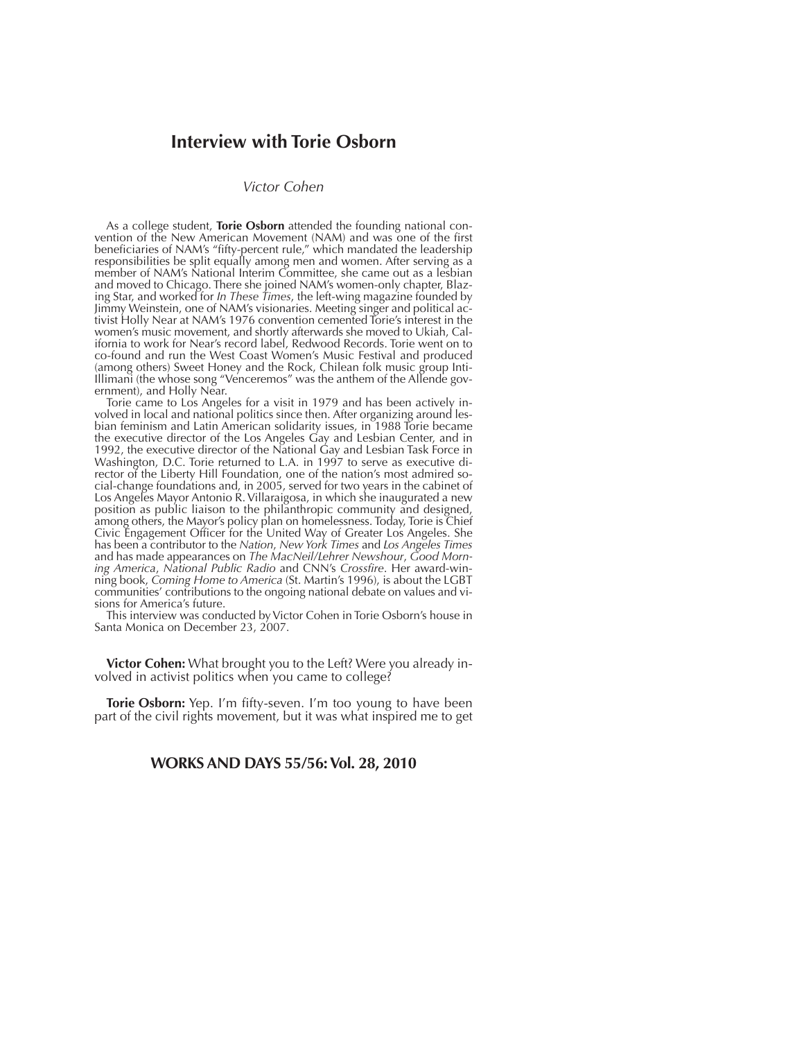# **Interview with Torie Osborn**

### *Victor Cohen*

As a college student, **Torie Osborn** attended the founding national convention of the New American Movement (NAM) and was one of the first beneficiaries of NAM's "fifty-percent rule," which mandated the leadership responsibilities be split equally among men and women. After serving as a member of NAM's National Interim Committee, she came out as a lesbian and moved to Chicago. There she joined NAM's women-only chapter, Blazing Star, and worked for *In These Times*, the left-wing magazine founded by Jimmy Weinstein, one of NAM's visionaries. Meeting singer and political activist Holly Near at NAM's 1976 convention cemented Torie's interest in the women's music movement, and shortly afterwards she moved to Ukiah, California to work for Near's record label, Redwood Records. Torie went on to co-found and run the West Coast Women's Music Festival and produced (among others) Sweet Honey and the Rock, Chilean folk music group Inti-Illimani (the whose song "Venceremos" was the anthem of the Allende government), and Holly Near.

Torie came to Los Angeles for a visit in 1979 and has been actively involved in local and national politics since then. After organizing around lesbian feminism and Latin American solidarity issues, in 1988 Torie became the executive director of the Los Angeles Gay and Lesbian Center, and in 1992, the executive director of the National Gay and Lesbian Task Force in Washington, D.C. Torie returned to L.A. in 1997 to serve as executive director of the Liberty Hill Foundation, one of the nation's most admired social-change foundations and, in 2005, served for two years in the cabinet of Los Angeles Mayor Antonio R. Villaraigosa, in which she inaugurated a new position as public liaison to the philanthropic community and designed, among others, the Mayor's policy plan on homelessness. Today, Torie is Chief Civic Engagement Officer for the United Way of Greater Los Angeles. She has been a contributor to the *Nation*, *New York Times* and *Los Angeles Times* and has made appearances on *The MacNeil/Lehrer Newshour*, *Good Morning America*, *National Public Radio* and CNN's *Crossfire*. Her award-winning book, *Coming Home to America* (St. Martin's 1996), is about the LGBT communities' contributions to the ongoing national debate on values and visions for America's future.

This interview was conducted by Victor Cohen in Torie Osborn's house in Santa Monica on December 23, 2007.

**Victor Cohen:** What brought you to the Left? Were you already involved in activist politics when you came to college?

**Torie Osborn:** Yep. I'm fifty-seven. I'm too young to have been part of the civil rights movement, but it was what inspired me to get

### **WORKS AND DAYS 55/56: Vol. 28, 2010**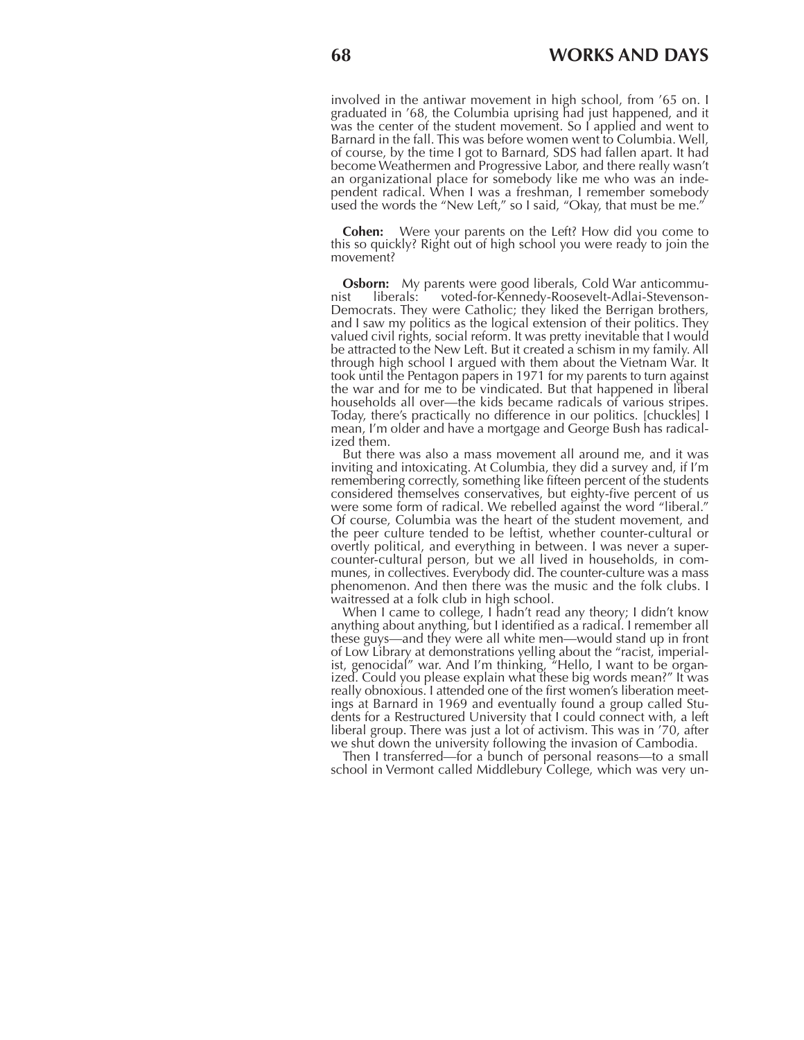involved in the antiwar movement in high school, from '65 on. I graduated in '68, the Columbia uprising had just happened, and it was the center of the student movement. So I applied and went to Barnard in the fall. This was before women went to Columbia. Well, of course, by the time I got to Barnard, SDS had fallen apart. It had become Weathermen and Progressive Labor, and there really wasn't an organizational place for somebody like me who was an independent radical. When I was a freshman, I remember somebody used the words the "New Left," so I said, "Okay, that must be me."

**Cohen:** Were your parents on the Left? How did you come to this so quickly? Right out of high school you were ready to join the movement?

**Osborn:** My parents were good liberals, Cold War anticommunist liberals: voted-for-Kennedy-Roosevelt-Adlai-Stevensonvoted-for-Kennedy-Roosevelt-Adlai-Stevenson-Democrats. They were Catholic; they liked the Berrigan brothers, and I saw my politics as the logical extension of their politics. They valued civil rights, social reform. It was pretty inevitable that I would be attracted to the New Left. But it created a schism in my family. All through high school I argued with them about the Vietnam War. It took until the Pentagon papers in 1971 for my parents to turn against the war and for me to be vindicated. But that happened in liberal households all over—the kids became radicals of various stripes. Today, there's practically no difference in our politics. [chuckles] I mean, I'm older and have a mortgage and George Bush has radicalized them.

But there was also a mass movement all around me, and it was inviting and intoxicating. At Columbia, they did a survey and, if I'm remembering correctly, something like fifteen percent of the students considered themselves conservatives, but eighty-five percent of us were some form of radical. We rebelled against the word "liberal." Of course, Columbia was the heart of the student movement, and the peer culture tended to be leftist, whether counter-cultural or overtly political, and everything in between. I was never a supercounter-cultural person, but we all lived in households, in communes, in collectives. Everybody did. The counter-culture was a mass phenomenon. And then there was the music and the folk clubs. I waitressed at a folk club in high school.

When I came to college, I hadn't read any theory; I didn't know anything about anything, but I identified as a radical. I remember all these guys—and they were all white men—would stand up in front of Low Library at demonstrations yelling about the "racist, imperialist, genocidal" war. And I'm thinking, "Hello, I want to be organized. Could you please explain what these big words mean?" It was really obnoxious. I attended one of the first women's liberation meetings at Barnard in 1969 and eventually found a group called Students for a Restructured University that I could connect with, a left liberal group. There was just a lot of activism. This was in '70, after we shut down the university following the invasion of Cambodia.

Then I transferred—for a bunch of personal reasons—to a small school in Vermont called Middlebury College, which was very un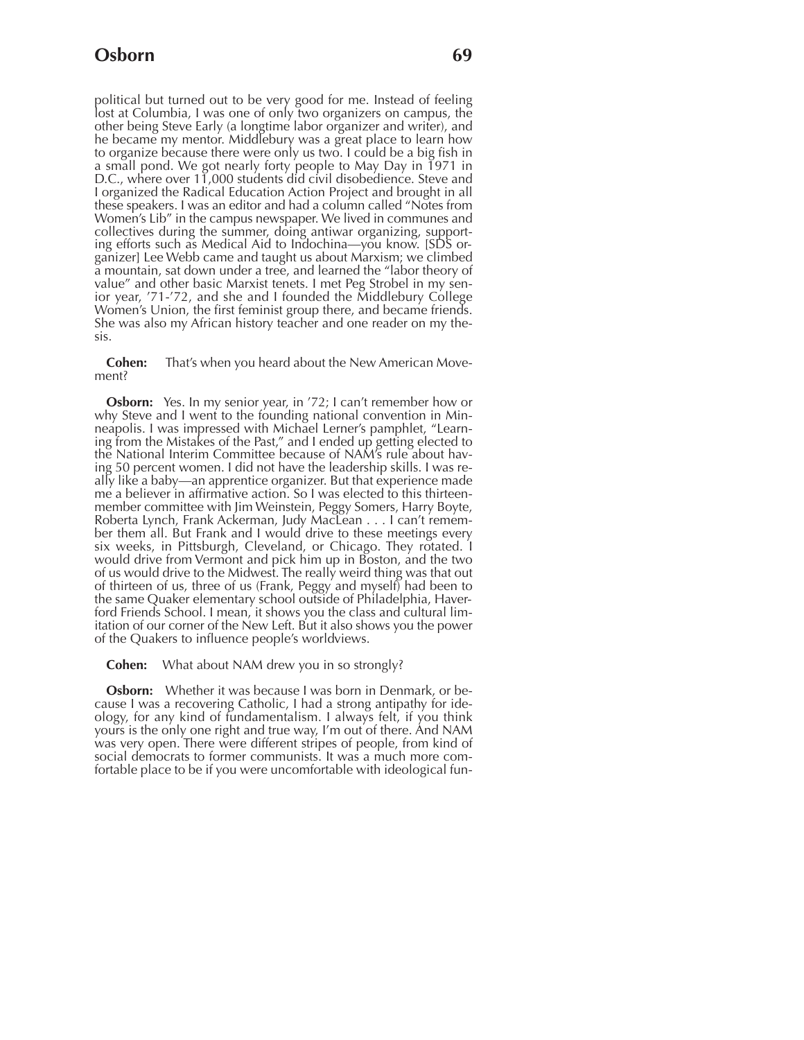political but turned out to be very good for me. Instead of feeling lost at Columbia, I was one of only two organizers on campus, the other being Steve Early (a longtime labor organizer and writer), and he became my mentor. Middlebury was a great place to learn how to organize because there were only us two. I could be a big fish in a small pond. We got nearly forty people to May Day in 1971 in D.C., where over 11,000 students did civil disobedience. Steve and I organized the Radical Education Action Project and brought in all these speakers. I was an editor and had a column called "Notes from Women's Lib" in the campus newspaper. We lived in communes and collectives during the summer, doing antiwar organizing, supporting efforts such as Medical Aid to Indochina—you know. [SDS organizer] Lee Webb came and taught us about Marxism; we climbed a mountain, sat down under a tree, and learned the "labor theory of value" and other basic Marxist tenets. I met Peg Strobel in my senior year, '71-'72, and she and I founded the Middlebury College Women's Union, the first feminist group there, and became friends. She was also my African history teacher and one reader on my thesis.

**Cohen:** That's when you heard about the New American Movement?

**Osborn:** Yes. In my senior year, in '72; I can't remember how or why Steve and I went to the founding national convention in Minneapolis. I was impressed with Michael Lerner's pamphlet, "Learning from the Mistakes of the Past," and I ended up getting elected to the National Interim Committee because of NAM's rule about having 50 percent women. I did not have the leadership skills. I was really like a baby—an apprentice organizer. But that experience made me a believer in affirmative action. So I was elected to this thirteenmember committee with Jim Weinstein, Peggy Somers, Harry Boyte, Roberta Lynch, Frank Ackerman, Judy MacLean . . . I can't remember them all. But Frank and I would drive to these meetings every six weeks, in Pittsburgh, Cleveland, or Chicago. They rotated. I would drive from Vermont and pick him up in Boston, and the two of us would drive to the Midwest. The really weird thing was that out of thirteen of us, three of us (Frank, Peggy and myself) had been to the same Quaker elementary school outside of Philadelphia, Haverford Friends School. I mean, it shows you the class and cultural limitation of our corner of the New Left. But it also shows you the power of the Quakers to influence people's worldviews.

**Cohen:** What about NAM drew you in so strongly?

**Osborn:** Whether it was because I was born in Denmark, or because I was a recovering Catholic, I had a strong antipathy for ideology, for any kind of fundamentalism. I always felt, if you think yours is the only one right and true way, I'm out of there. And NAM was very open. There were different stripes of people, from kind of social democrats to former communists. It was a much more comfortable place to be if you were uncomfortable with ideological fun-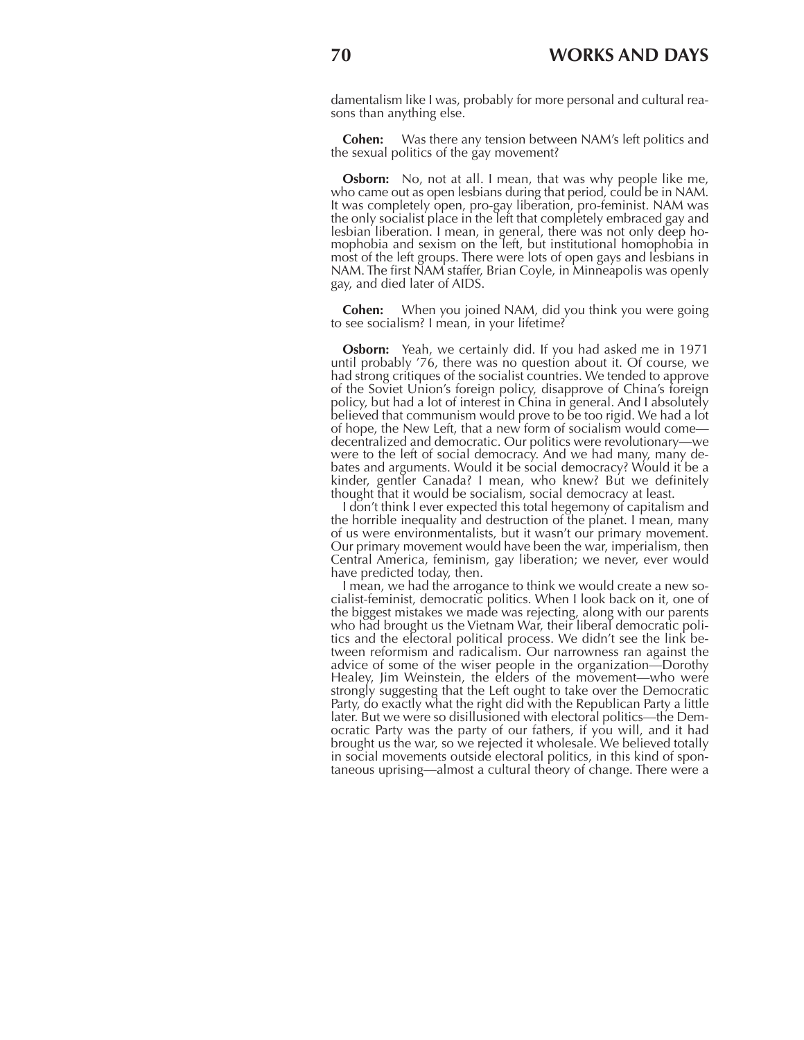damentalism like I was, probably for more personal and cultural reasons than anything else.

**Cohen:** Was there any tension between NAM's left politics and the sexual politics of the gay movement?

**Osborn:** No, not at all. I mean, that was why people like me, who came out as open lesbians during that period, could be in NAM. It was completely open, pro-gay liberation, pro-feminist. NAM was the only socialist place in the left that completely embraced gay and lesbian liberation. I mean, in general, there was not only deep homophobia and sexism on the left, but institutional homophobia in most of the left groups. There were lots of open gays and lesbians in NAM. The first NAM staffer, Brian Coyle, in Minneapolis was openly gay, and died later of AIDS.

**Cohen:** When you joined NAM, did you think you were going to see socialism? I mean, in your lifetime?

**Osborn:** Yeah, we certainly did. If you had asked me in 1971 until probably '76, there was no question about it. Of course, we had strong critiques of the socialist countries. We tended to approve of the Soviet Union's foreign policy, disapprove of China's foreign policy, but had a lot of interest in China in general. And I absolutely believed that communism would prove to be too rigid. We had a lot of hope, the New Left, that a new form of socialism would come decentralized and democratic. Our politics were revolutionary—we were to the left of social democracy. And we had many, many debates and arguments. Would it be social democracy? Would it be a kinder, gentler Canada? I mean, who knew? But we definitely thought that it would be socialism, social democracy at least.

I don't think I ever expected this total hegemony of capitalism and the horrible inequality and destruction of the planet. I mean, many of us were environmentalists, but it wasn't our primary movement. Our primary movement would have been the war, imperialism, then Central America, feminism, gay liberation; we never, ever would have predicted today, then.

I mean, we had the arrogance to think we would create a new socialist-feminist, democratic politics. When I look back on it, one of the biggest mistakes we made was rejecting, along with our parents who had brought us the Vietnam War, their liberal democratic politics and the electoral political process. We didn't see the link between reformism and radicalism. Our narrowness ran against the advice of some of the wiser people in the organization—Dorothy Healey, Jim Weinstein, the elders of the movement—who were strongly suggesting that the Left ought to take over the Democratic Party, do exactly what the right did with the Republican Party a little later. But we were so disillusioned with electoral politics—the Democratic Party was the party of our fathers, if you will, and it had brought us the war, so we rejected it wholesale. We believed totally in social movements outside electoral politics, in this kind of spontaneous uprising—almost a cultural theory of change. There were a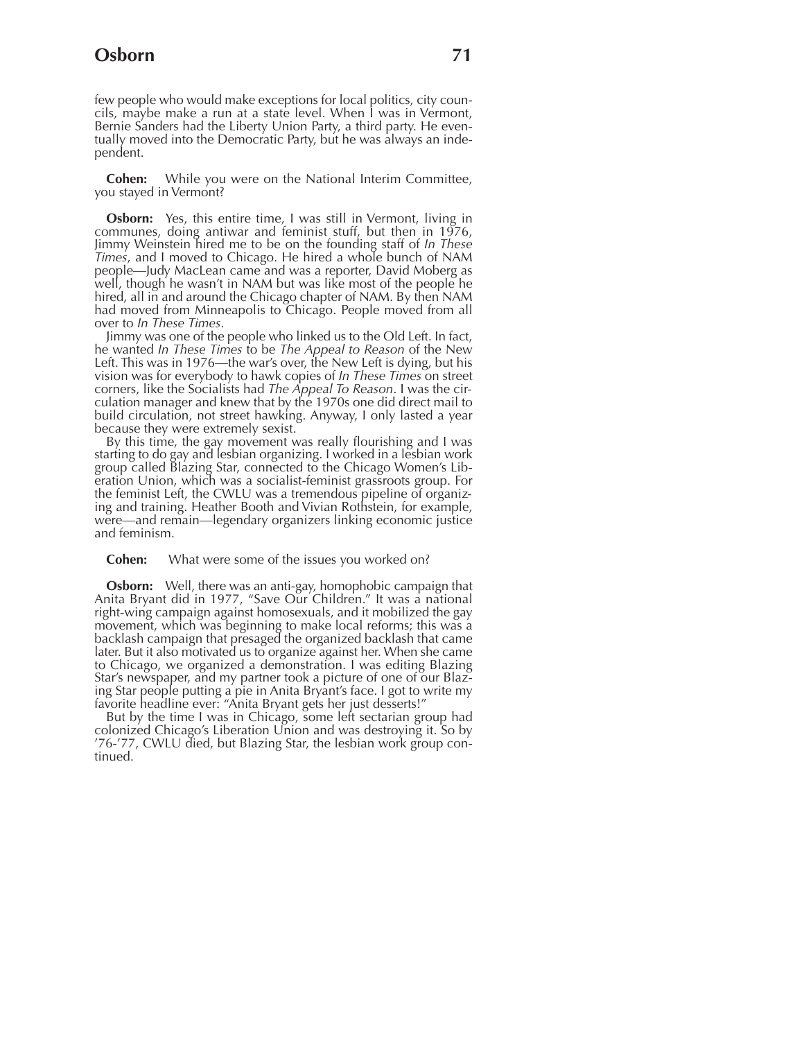few people who would make exceptions for local politics, city councils, maybe make a run at a state level. When I was in Vermont, Bernie Sanders had the Liberty Union Party, a third party. He eventually moved into the Democratic Party, but he was always an independent.

**Cohen:** While you were on the National Interim Committee, you stayed in Vermont?

**Osborn:** Yes, this entire time, I was still in Vermont, living in communes, doing antiwar and feminist stuff, but then in 1976, Jimmy Weinstein hired me to be on the founding staff of *In These Times*, and I moved to Chicago. He hired a whole bunch of NAM people—Judy MacLean came and was a reporter, David Moberg as well, though he wasn't in NAM but was like most of the people he hired, all in and around the Chicago chapter of NAM. By then NAM had moved from Minneapolis to Chicago. People moved from all over to *In These Times*.

Jimmy was one of the people who linked us to the Old Left. In fact, he wanted *In These Times* to be *The Appeal to Reason* of the New Left. This was in 1976—the war's over, the New Left is dying, but his vision was for everybody to hawk copies of *In These Times* on street corners, like the Socialists had *The Appeal To Reason*. I was the circulation manager and knew that by the 1970s one did direct mail to build circulation, not street hawking. Anyway, I only lasted a year because they were extremely sexist.

By this time, the gay movement was really flourishing and I was starting to do gay and lesbian organizing. I worked in a lesbian work group called Blazing Star, connected to the Chicago Women's Liberation Union, which was a socialist-feminist grassroots group. For the feminist Left, the CWLU was a tremendous pipeline of organizing and training. Heather Booth and Vivian Rothstein, for example, were—and remain—legendary organizers linking economic justice and feminism.

### **Cohen:** What were some of the issues you worked on?

**Osborn:** Well, there was an anti-gay, homophobic campaign that Anita Bryant did in 1977, "Save Our Children." It was a national right-wing campaign against homosexuals, and it mobilized the gay movement, which was beginning to make local reforms; this was a backlash campaign that presaged the organized backlash that came later. But it also motivated us to organize against her. When she came to Chicago, we organized a demonstration. I was editing Blazing Star's newspaper, and my partner took a picture of one of our Blazing Star people putting a pie in Anita Bryant's face. I got to write my favorite headline ever: "Anita Bryant gets her just desserts!"

But by the time I was in Chicago, some left sectarian group had colonized Chicago's Liberation Union and was destroying it. So by '76-'77, CWLU died, but Blazing Star, the lesbian work group continued.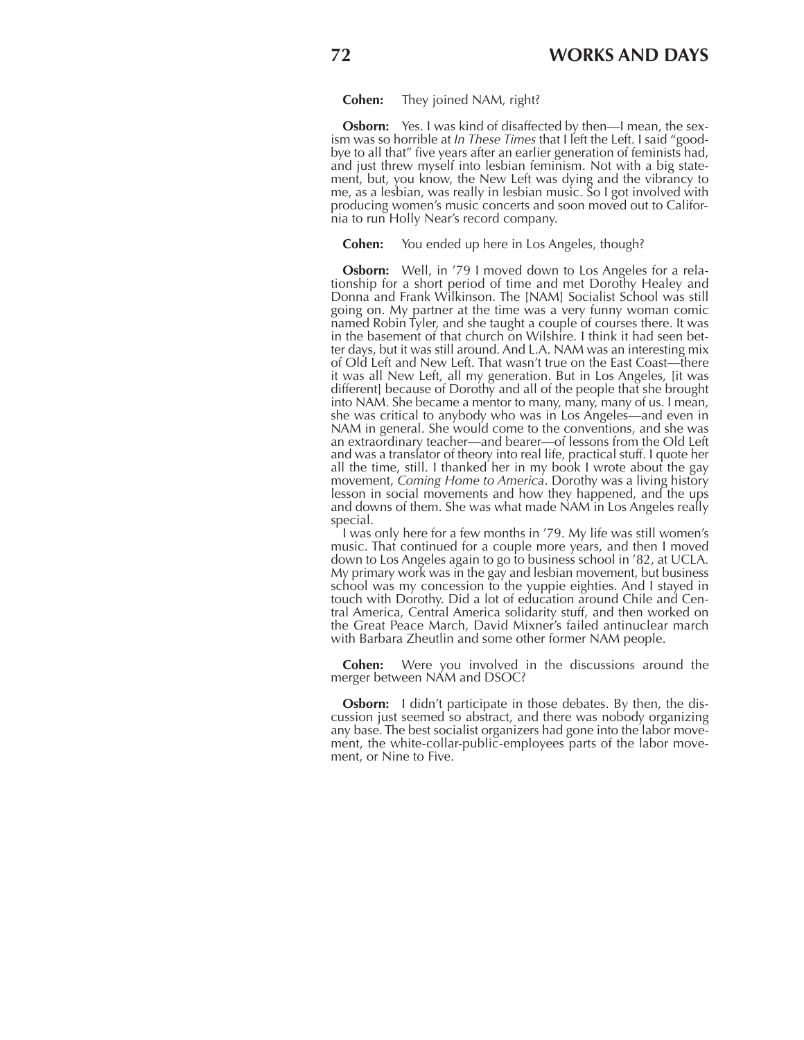**Cohen:** They joined NAM, right?

**Osborn:** Yes. I was kind of disaffected by then—I mean, the sexism was so horrible at *In These Times* that I left the Left. I said "goodbye to all that" five years after an earlier generation of feminists had, and just threw myself into lesbian feminism. Not with a big statement, but, you know, the New Left was dying and the vibrancy to me, as a lesbian, was really in lesbian music. So I got involved with producing women's music concerts and soon moved out to California to run Holly Near's record company.

**Cohen:** You ended up here in Los Angeles, though?

**Osborn:** Well, in '79 I moved down to Los Angeles for a relationship for a short period of time and met Dorothy Healey and Donna and Frank Wilkinson. The [NAM] Socialist School was still going on. My partner at the time was a very funny woman comic named Robin Tyler, and she taught a couple of courses there. It was in the basement of that church on Wilshire. I think it had seen better days, but it was still around. And L.A. NAM was an interesting mix of Old Left and New Left. That wasn't true on the East Coast—there it was all New Left, all my generation. But in Los Angeles, [it was different] because of Dorothy and all of the people that she brought into NAM. She became a mentor to many, many, many of us. I mean, she was critical to anybody who was in Los Angeles—and even in NAM in general. She would come to the conventions, and she was an extraordinary teacher—and bearer—of lessons from the Old Left and was a translator of theory into real life, practical stuff. I quote her all the time, still. I thanked her in my book I wrote about the gay movement, *Coming Home to America*. Dorothy was a living history lesson in social movements and how they happened, and the ups and downs of them. She was what made NAM in Los Angeles really special.

I was only here for a few months in '79. My life was still women's music. That continued for a couple more years, and then I moved down to Los Angeles again to go to business school in '82, at UCLA. My primary work was in the gay and lesbian movement, but business school was my concession to the yuppie eighties. And I stayed in touch with Dorothy. Did a lot of education around Chile and Central America, Central America solidarity stuff, and then worked on the Great Peace March, David Mixner's failed antinuclear march with Barbara Zheutlin and some other former NAM people.

**Cohen:** Were you involved in the discussions around the merger between NAM and DSOC?

**Osborn:** I didn't participate in those debates. By then, the discussion just seemed so abstract, and there was nobody organizing any base. The best socialist organizers had gone into the labor movement, the white-collar-public-employees parts of the labor movement, or Nine to Five.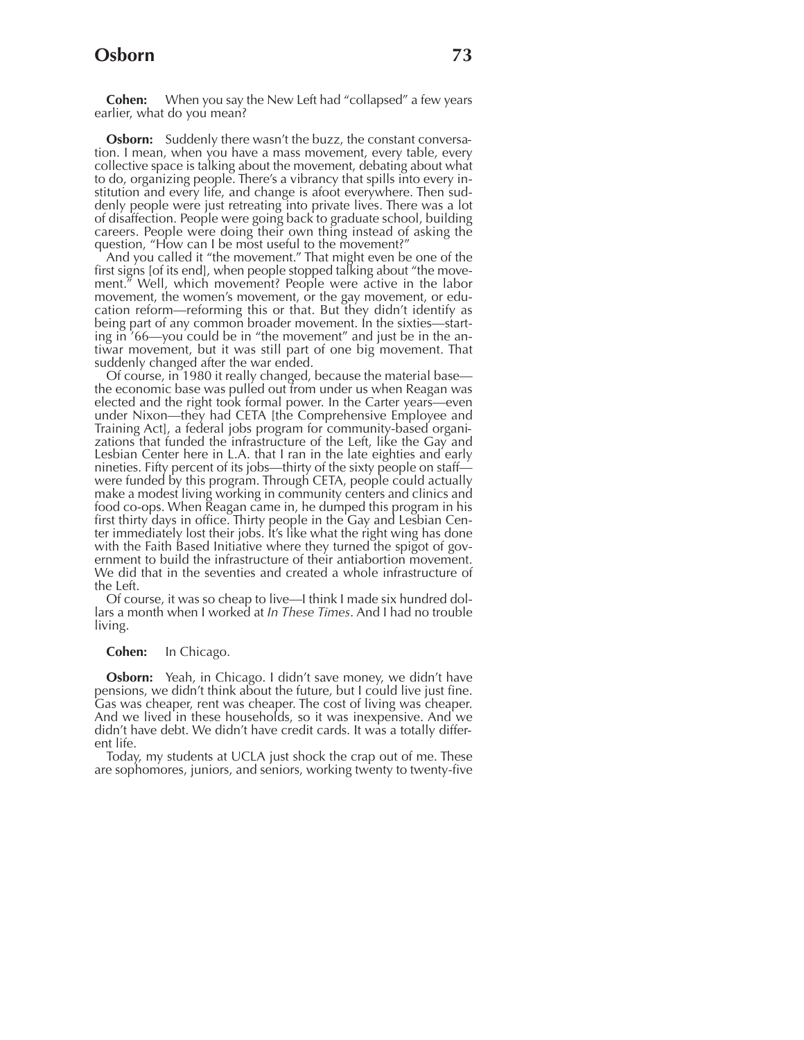## **Osborn 73**

**Cohen:** When you say the New Left had "collapsed" a few years earlier, what do you mean?

**Osborn:** Suddenly there wasn't the buzz, the constant conversation. I mean, when you have a mass movement, every table, every collective space is talking about the movement, debating about what to do, organizing people. There's a vibrancy that spills into every institution and every life, and change is afoot everywhere. Then suddenly people were just retreating into private lives. There was a lot of disaffection. People were going back to graduate school, building careers. People were doing their own thing instead of asking the question, "How can I be most useful to the movement?"

And you called it "the movement." That might even be one of the first signs [of its end], when people stopped talking about "the movement." Well, which movement? People were active in the labor movement, the women's movement, or the gay movement, or education reform—reforming this or that. But they didn't identify as being part of any common broader movement. In the sixties—starting in '66—you could be in "the movement" and just be in the antiwar movement, but it was still part of one big movement. That suddenly changed after the war ended.

Of course, in 1980 it really changed, because the material base the economic base was pulled out from under us when Reagan was elected and the right took formal power. In the Carter years—even under Nixon—they had CETA [the Comprehensive Employee and Training Act], a federal jobs program for community-based organizations that funded the infrastructure of the Left, like the Gay and Lesbian Center here in L.A. that I ran in the late eighties and early nineties. Fifty percent of its jobs—thirty of the sixty people on staff were funded by this program. Through CETA, people could actually make a modest living working in community centers and clinics and food co-ops. When Reagan came in, he dumped this program in his first thirty days in office. Thirty people in the Gay and Lesbian Center immediately lost their jobs. It's like what the right wing has done with the Faith Based Initiative where they turned the spigot of government to build the infrastructure of their antiabortion movement. We did that in the seventies and created a whole infrastructure of the Left.

Of course, it was so cheap to live—I think I made six hundred dollars a month when I worked at *In These Times*. And I had no trouble living.

### **Cohen:** In Chicago.

**Osborn:** Yeah, in Chicago. I didn't save money, we didn't have pensions, we didn't think about the future, but I could live just fine. Gas was cheaper, rent was cheaper. The cost of living was cheaper. And we lived in these households, so it was inexpensive. And we didn't have debt. We didn't have credit cards. It was a totally different life.

Today, my students at UCLA just shock the crap out of me. These are sophomores, juniors, and seniors, working twenty to twenty-five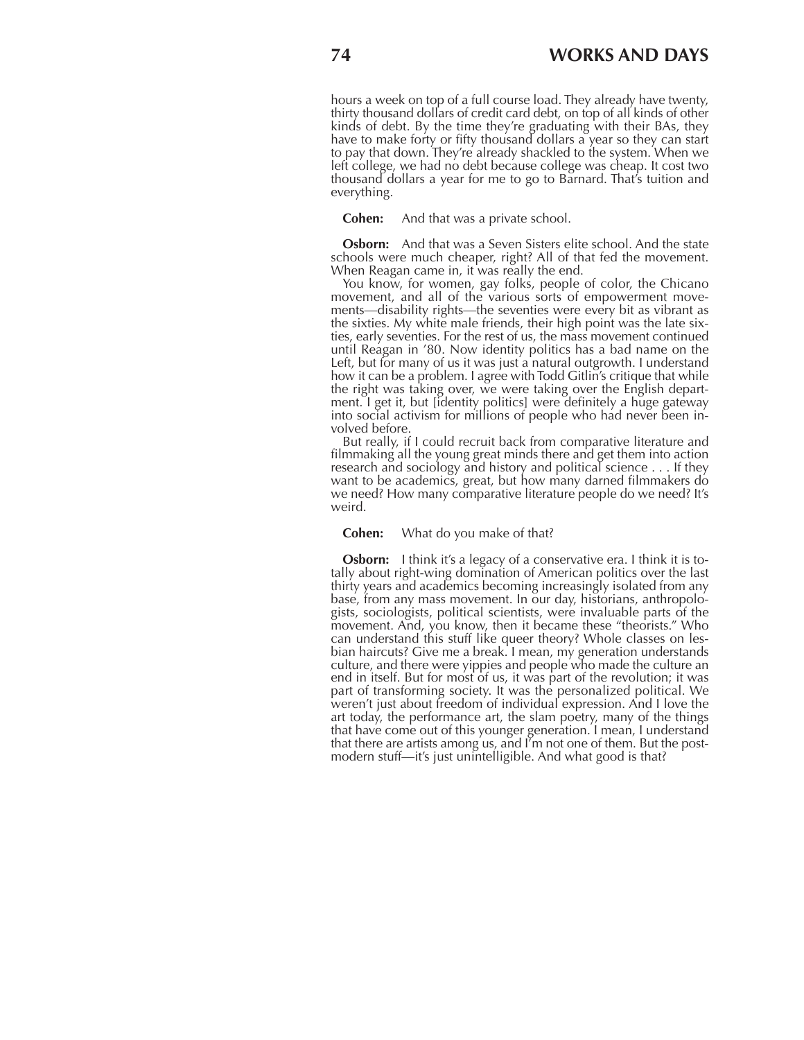hours a week on top of a full course load. They already have twenty, thirty thousand dollars of credit card debt, on top of all kinds of other kinds of debt. By the time they're graduating with their BAs, they have to make forty or fifty thousand dollars a year so they can start to pay that down. They're already shackled to the system. When we left college, we had no debt because college was cheap. It cost two thousand dollars a year for me to go to Barnard. That's tuition and everything.

**Cohen:** And that was a private school.

**Osborn:** And that was a Seven Sisters elite school. And the state schools were much cheaper, right? All of that fed the movement. When Reagan came in, it was really the end.

You know, for women, gay folks, people of color, the Chicano movement, and all of the various sorts of empowerment movements—disability rights—the seventies were every bit as vibrant as the sixties. My white male friends, their high point was the late sixties, early seventies. For the rest of us, the mass movement continued until Reagan in '80. Now identity politics has a bad name on the Left, but for many of us it was just a natural outgrowth. I understand how it can be a problem. I agree with Todd Gitlin's critique that while the right was taking over, we were taking over the English department. I get it, but [identity politics] were definitely a huge gateway into social activism for millions of people who had never been involved before.

But really, if I could recruit back from comparative literature and filmmaking all the young great minds there and get them into action research and sociology and history and political science . . . If they want to be academics, great, but how many darned filmmakers do we need? How many comparative literature people do we need? It's weird.

### **Cohen:** What do you make of that?

**Osborn:** I think it's a legacy of a conservative era. I think it is totally about right-wing domination of American politics over the last thirty years and academics becoming increasingly isolated from any base, from any mass movement. In our day, historians, anthropologists, sociologists, political scientists, were invaluable parts of the movement. And, you know, then it became these "theorists." Who can understand this stuff like queer theory? Whole classes on lesbian haircuts? Give me a break. I mean, my generation understands culture, and there were yippies and people who made the culture an end in itself. But for most of us, it was part of the revolution; it was part of transforming society. It was the personalized political. We weren't just about freedom of individual expression. And I love the art today, the performance art, the slam poetry, many of the things that have come out of this younger generation. I mean, I understand that there are artists among us, and I'm not one of them. But the postmodern stuff—it's just unintelligible. And what good is that?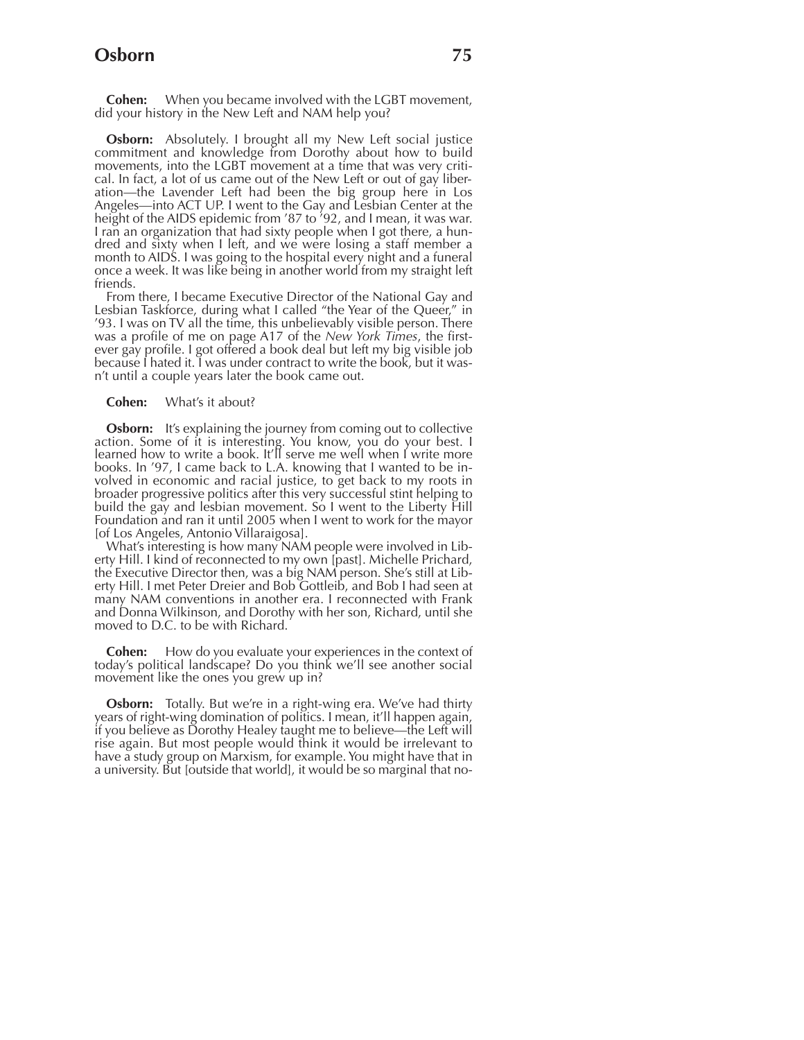## **Osborn 75**

**Cohen:** When you became involved with the LGBT movement, did your history in the New Left and NAM help you?

**Osborn:** Absolutely. I brought all my New Left social justice commitment and knowledge from Dorothy about how to build movements, into the LGBT movement at a time that was very critical. In fact, a lot of us came out of the New Left or out of gay liberation—the Lavender Left had been the big group here in Los Angeles—into ACT UP. I went to the Gay and Lesbian Center at the height of the AIDS epidemic from '87 to '92, and I mean, it was war. I ran an organization that had sixty people when I got there, a hundred and sixty when I left, and we were losing a staff member a month to AIDS. I was going to the hospital every night and a funeral once a week. It was like being in another world from my straight left friends.

From there, I became Executive Director of the National Gay and Lesbian Taskforce, during what I called "the Year of the Queer," in '93. I was on TV all the time, this unbelievably visible person. There was a profile of me on page A17 of the *New York Times*, the firstever gay profile. I got offered a book deal but left my big visible job because I hated it. I was under contract to write the book, but it wasn't until a couple years later the book came out.

### **Cohen:** What's it about?

**Osborn:** It's explaining the journey from coming out to collective action. Some of it is interesting. You know, you do your best. I learned how to write a book. It'll serve me well when I write more books. In '97, I came back to L.A. knowing that I wanted to be involved in economic and racial justice, to get back to my roots in broader progressive politics after this very successful stint helping to build the gay and lesbian movement. So I went to the Liberty Hill Foundation and ran it until 2005 when I went to work for the mayor [of Los Angeles, Antonio Villaraigosa].

What's interesting is how many NAM people were involved in Liberty Hill. I kind of reconnected to my own [past]. Michelle Prichard, the Executive Director then, was a big NAM person. She's still at Liberty Hill. I met Peter Dreier and Bob Gottleib, and Bob I had seen at many NAM conventions in another era. I reconnected with Frank and Donna Wilkinson, and Dorothy with her son, Richard, until she moved to D.C. to be with Richard.

**Cohen:** How do you evaluate your experiences in the context of today's political landscape? Do you think we'll see another social movement like the ones you grew up in?

**Osborn:** Totally. But we're in a right-wing era. We've had thirty years of right-wing domination of politics. I mean, it'll happen again, if you believe as Dorothy Healey taught me to believe—the Left will rise again. But most people would think it would be irrelevant to have a study group on Marxism, for example. You might have that in a university. But [outside that world], it would be so marginal that no